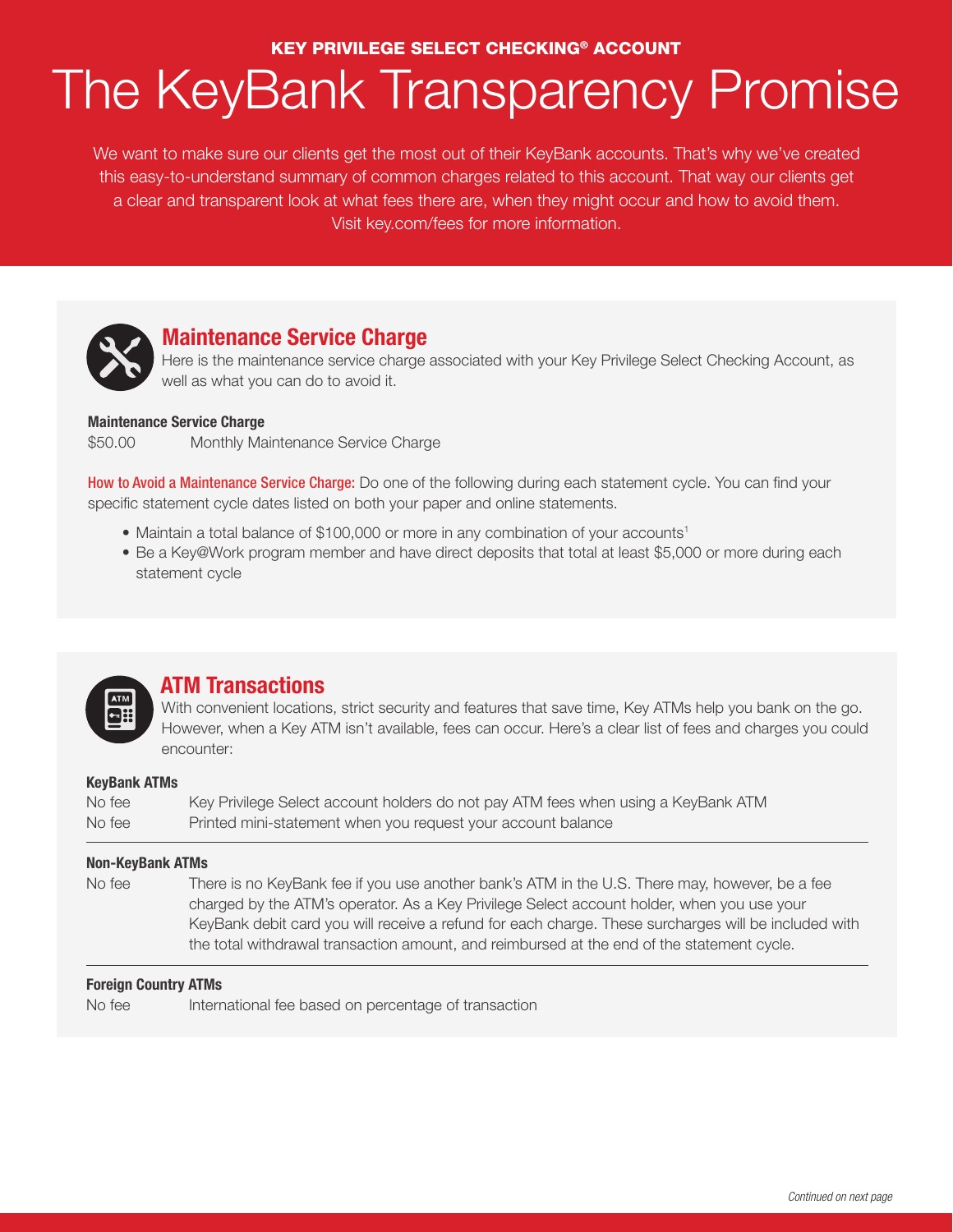## KEY PRIVILEGE SELECT CHECKING® ACCOUNT

# The KeyBank Transparency Promise

We want to make sure our clients get the most out of their KeyBank accounts. That's why we've created this easy-to-understand summary of common charges related to this account. That way our clients get a clear and transparent look at what fees there are, when they might occur and how to avoid them. Visit key.com/fees for more information.



# **Maintenance Service Charge**

Here is the maintenance service charge associated with your Key Privilege Select Checking Account, as well as what you can do to avoid it.

## **Maintenance Service Charge**

\$50.00 Monthly Maintenance Service Charge

**How to Avoid a Maintenance Service Charge:** Do one of the following during each statement cycle. You can find your specific statement cycle dates listed on both your paper and online statements.

- Maintain a total balance of \$100,000 or more in any combination of your accounts<sup>1</sup>
- Be a Key@Work program member and have direct deposits that total at least \$5,000 or more during each statement cycle



# **ATM Transactions**

With convenient locations, strict security and features that save time, Key ATMs help you bank on the go. However, when a Key ATM isn't available, fees can occur. Here's a clear list of fees and charges you could encounter:

## **KeyBank ATMs**

No fee Key Privilege Select account holders do not pay ATM fees when using a KeyBank ATM No fee Printed mini-statement when you request your account balance

## **Non-KeyBank ATMs**

No fee There is no KeyBank fee if you use another bank's ATM in the U.S. There may, however, be a fee charged by the ATM's operator. As a Key Privilege Select account holder, when you use your KeyBank debit card you will receive a refund for each charge. These surcharges will be included with the total withdrawal transaction amount, and reimbursed at the end of the statement cycle.

## **Foreign Country ATMs**

No fee International fee based on percentage of transaction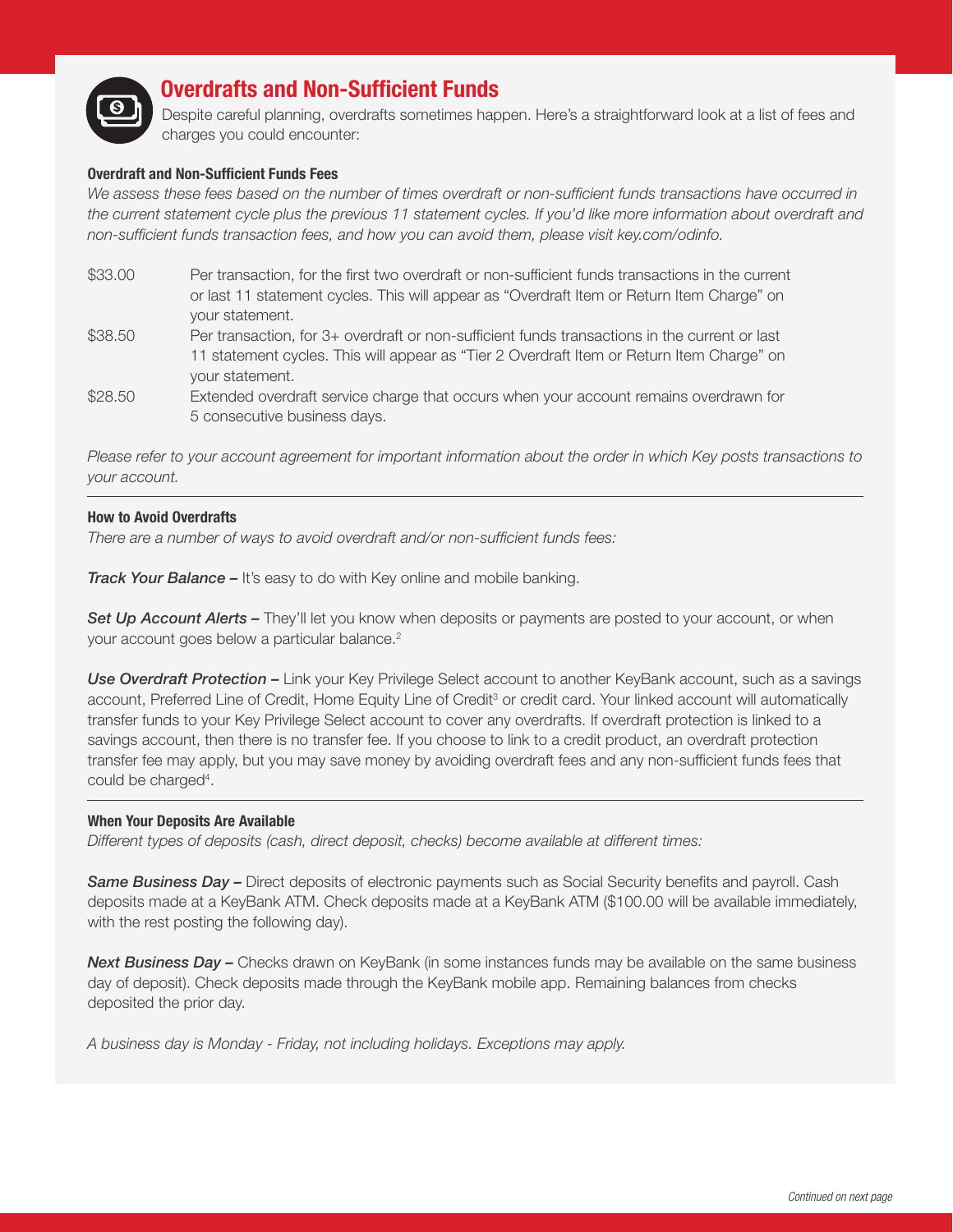

# **Overdrafts and Non-Sufficient Funds**

Despite careful planning, overdrafts sometimes happen. Here's a straightforward look at a list of fees and charges you could encounter:

#### **Overdraft and Non-Sufficient Funds Fees**

We assess these fees based on the number of times overdraft or non-sufficient funds transactions have occurred in *the current statement cycle plus the previous 11 statement cycles. If you'd like more information about overdraft and non-sufficient funds transaction fees, and how you can avoid them, please visit key.com/odinfo.*

- \$33.00 Per transaction, for the first two overdraft or non-sufficient funds transactions in the current or last 11 statement cycles. This will appear as "Overdraft Item or Return Item Charge" on your statement.
- \$38.50 Per transaction, for 3+ overdraft or non-sufficient funds transactions in the current or last 11 statement cycles. This will appear as "Tier 2 Overdraft Item or Return Item Charge" on your statement.
- \$28.50 Extended overdraft service charge that occurs when your account remains overdrawn for 5 consecutive business days.

*Please refer to your account agreement for important information about the order in which Key posts transactions to your account.*

#### **How to Avoid Overdrafts**

*There are a number of ways to avoid overdraft and/or non-sufficient funds fees:*

*Track Your Balance –* It's easy to do with Key online and mobile banking.

**Set Up Account Alerts –** They'll let you know when deposits or payments are posted to your account, or when your account goes below a particular balance.<sup>2</sup>

*Use Overdraft Protection –* Link your Key Privilege Select account to another KeyBank account, such as a savings account, Preferred Line of Credit, Home Equity Line of Credit<sup>3</sup> or credit card. Your linked account will automatically transfer funds to your Key Privilege Select account to cover any overdrafts. If overdraft protection is linked to a savings account, then there is no transfer fee. If you choose to link to a credit product, an overdraft protection transfer fee may apply, but you may save money by avoiding overdraft fees and any non-sufficient funds fees that could be charged<sup>4</sup>.

#### **When Your Deposits Are Available**

*Different types of deposits (cash, direct deposit, checks) become available at different times:*

*Same Business Day –* Direct deposits of electronic payments such as Social Security benefits and payroll. Cash deposits made at a KeyBank ATM. Check deposits made at a KeyBank ATM (\$100.00 will be available immediately, with the rest posting the following day).

**Next Business Day –** Checks drawn on KeyBank (in some instances funds may be available on the same business day of deposit). Check deposits made through the KeyBank mobile app. Remaining balances from checks deposited the prior day.

*A business day is Monday - Friday, not including holidays. Exceptions may apply.*